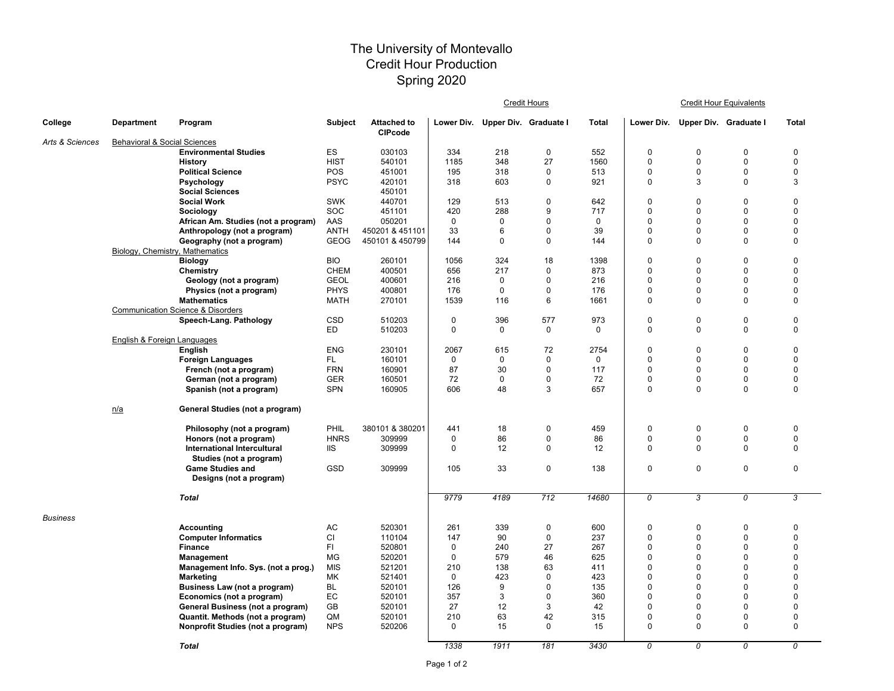## The University of Montevallo Credit Hour Production Spring 2020

|                 |                                         |                                              |                           |                                      |              |                                  | <b>Credit Hours</b> |                    | <b>Credit Hour Equivalents</b> |                                  |                            |                                 |  |
|-----------------|-----------------------------------------|----------------------------------------------|---------------------------|--------------------------------------|--------------|----------------------------------|---------------------|--------------------|--------------------------------|----------------------------------|----------------------------|---------------------------------|--|
| College         | <b>Department</b>                       | Program                                      | <b>Subject</b>            | <b>Attached to</b><br><b>CIPcode</b> |              | Lower Div. Upper Div. Graduate I |                     | <b>Total</b>       | Lower Div.                     | <b>Upper Div. Graduate I</b>     |                            | <b>Total</b>                    |  |
| Arts & Sciences | <b>Behavioral &amp; Social Sciences</b> |                                              |                           |                                      |              |                                  |                     |                    |                                |                                  |                            |                                 |  |
|                 |                                         | <b>Environmental Studies</b>                 | ES                        | 030103                               | 334          | 218                              | 0                   | 552                | $\boldsymbol{0}$               | 0                                | 0                          | $\mathbf 0$                     |  |
|                 |                                         | <b>History</b><br><b>Political Science</b>   | <b>HIST</b><br><b>POS</b> | 540101<br>451001                     | 1185<br>195  | 348<br>318                       | 27                  | 1560<br>513        | $\mathbf 0$<br>$\mathbf 0$     | $\overline{0}$<br>$\overline{0}$ | $\mathbf 0$<br>$\mathbf 0$ | $\pmb{0}$<br>$\pmb{0}$          |  |
|                 |                                         |                                              | <b>PSYC</b>               | 420101                               | 318          | 603                              | 0<br>0              | 921                | $\mathbf 0$                    | 3                                | $\overline{0}$             | $\mathbf{3}$                    |  |
|                 |                                         | <b>Psychology</b><br><b>Social Sciences</b>  |                           | 450101                               |              |                                  |                     |                    |                                |                                  |                            |                                 |  |
|                 |                                         | <b>Social Work</b>                           | <b>SWK</b>                | 440701                               | 129          | 513                              | 0                   | 642                | $\boldsymbol{0}$               | 0                                | 0                          | $\mathbf 0$                     |  |
|                 |                                         | Sociology                                    | SOC                       | 451101                               | 420          | 288                              | 9                   | 717                | $\pmb{0}$                      | $\Omega$                         | 0                          | $\mathbf 0$                     |  |
|                 |                                         | African Am. Studies (not a program)          | AAS                       | 050201                               | $\mathbf 0$  | 0                                | 0                   | 0                  | $\mathbf 0$                    | $\Omega$                         | $\Omega$                   | $\mathbf 0$                     |  |
|                 |                                         | Anthropology (not a program)                 | <b>ANTH</b>               | 450201 & 451101                      | 33           | 6                                | 0                   | 39                 | $\pmb{0}$                      | $\Omega$                         | $\mathbf 0$                | $\boldsymbol{0}$                |  |
|                 |                                         | Geography (not a program)                    | <b>GEOG</b>               | 450101 & 450799                      | 144          | $\mathbf 0$                      | $\pmb{0}$           | 144                | $\pmb{0}$                      | $\Omega$                         | $\overline{0}$             | $\mathbf 0$                     |  |
|                 | Biology, Chemistry, Mathematics         |                                              |                           |                                      |              |                                  |                     |                    |                                |                                  |                            |                                 |  |
|                 |                                         | <b>Biology</b>                               | <b>BIO</b>                | 260101                               | 1056         | 324                              | 18                  | 1398               | $\pmb{0}$                      | 0                                | 0                          | $\boldsymbol{0}$                |  |
|                 |                                         | <b>Chemistry</b>                             | <b>CHEM</b>               | 400501                               | 656          | 217                              | 0                   | 873                | 0                              | 0                                | 0                          | $\pmb{0}$                       |  |
|                 |                                         | Geology (not a program)                      | <b>GEOL</b>               | 400601                               | 216          | 0                                | 0                   | 216                | $\mathbf{0}$                   | $\Omega$                         | $\mathbf 0$                | $\boldsymbol{0}$                |  |
|                 |                                         | Physics (not a program)                      | <b>PHYS</b>               | 400801                               | 176          | 0                                | 0                   | 176                | $\mathbf 0$                    | $\Omega$                         | $\mathbf 0$                | $\boldsymbol{0}$                |  |
|                 |                                         | <b>Mathematics</b>                           | <b>MATH</b>               | 270101                               | 1539         | 116                              | 6                   | 1661               | $\mathbf 0$                    | $\Omega$                         | $\Omega$                   | $\mathbf 0$                     |  |
|                 |                                         | <b>Communication Science &amp; Disorders</b> |                           |                                      |              |                                  |                     |                    |                                |                                  |                            |                                 |  |
|                 |                                         | <b>Speech-Lang. Pathology</b>                | <b>CSD</b><br>ED          | 510203<br>510203                     | 0<br>0       | 396<br>0                         | 577<br>0            | 973<br>$\mathbf 0$ | $\boldsymbol{0}$<br>$\pmb{0}$  | 0<br>$\Omega$                    | $\pmb{0}$<br>$\mathbf 0$   | $\boldsymbol{0}$<br>$\mathbf 0$ |  |
|                 | <b>English &amp; Foreign Languages</b>  |                                              |                           |                                      |              |                                  |                     |                    |                                |                                  |                            |                                 |  |
|                 |                                         | <b>English</b>                               | <b>ENG</b>                | 230101                               | 2067         | 615                              | 72                  | 2754               | 0                              | 0                                | $\pmb{0}$                  | $\mathbf 0$                     |  |
|                 |                                         | <b>Foreign Languages</b>                     | FL.                       | 160101                               | 0            | $\mathbf 0$                      | 0                   | $\mathbf{0}$       | 0                              | $\mathbf{0}$                     | 0                          | $\pmb{0}$                       |  |
|                 |                                         | French (not a program)                       | <b>FRN</b>                | 160901                               | 87           | 30                               | 0                   | 117                | $\mathbf{0}$                   | $\Omega$                         | $\Omega$                   | $\mathbf 0$                     |  |
|                 |                                         | German (not a program)                       | <b>GER</b>                | 160501                               | 72           | 0                                | 0                   | 72                 | 0                              | $\Omega$                         | $\Omega$                   | $\pmb{0}$                       |  |
|                 |                                         | Spanish (not a program)                      | <b>SPN</b>                | 160905                               | 606          | 48                               | 3                   | 657                | $\pmb{0}$                      | $\Omega$                         | $\mathbf{0}$               | $\mathbf 0$                     |  |
|                 | n/a                                     | <b>General Studies (not a program)</b>       |                           |                                      |              |                                  |                     |                    |                                |                                  |                            |                                 |  |
|                 |                                         | Philosophy (not a program)                   | PHIL                      | 380101 & 380201                      | 441          | 18                               | 0                   | 459                | $\mathbf 0$                    | 0                                | $\pmb{0}$                  | $\boldsymbol{0}$                |  |
|                 |                                         | Honors (not a program)                       | <b>HNRS</b>               | 309999                               | 0            | 86                               | 0                   | 86                 | $\mathbf 0$                    |                                  | 0                          | $\pmb{0}$                       |  |
|                 |                                         | <b>International Intercultural</b>           | <b>IIS</b>                | 309999                               | 0            | 12                               | $\mathbf 0$         | 12                 | $\mathbf 0$                    |                                  | $\overline{0}$             | $\mathbf 0$                     |  |
|                 |                                         | Studies (not a program)                      |                           |                                      |              |                                  |                     |                    |                                |                                  |                            |                                 |  |
|                 |                                         | <b>Game Studies and</b>                      | <b>GSD</b>                | 309999                               | 105          | 33                               | 0                   | 138                | 0                              | 0                                | $\pmb{0}$                  | $\mathbf 0$                     |  |
|                 |                                         | Designs (not a program)                      |                           |                                      |              |                                  |                     |                    |                                |                                  |                            |                                 |  |
|                 |                                         | <b>Total</b>                                 |                           |                                      | 9779         | 4189                             | 712                 | 14680              | 0                              | 3                                | 0                          | 3                               |  |
| <b>Business</b> |                                         |                                              |                           |                                      |              |                                  |                     |                    |                                |                                  |                            |                                 |  |
|                 |                                         | <b>Accounting</b>                            | AC                        | 520301                               | 261          | 339                              | 0                   | 600                | $\boldsymbol{0}$               |                                  |                            | 0                               |  |
|                 |                                         | <b>Computer Informatics</b>                  | CI                        | 110104                               | 147          | 90                               | 0                   | 237                | $\mathbf 0$                    |                                  |                            | $\Omega$                        |  |
|                 |                                         | <b>Finance</b>                               | FI.                       | 520801                               | $\mathbf{0}$ | 240                              | 27                  | 267                | 0                              |                                  |                            | $\Omega$                        |  |
|                 |                                         | Management                                   | MG                        | 520201                               | 0            | 579                              | 46                  | 625                | 0                              |                                  |                            |                                 |  |
|                 |                                         | Management Info. Sys. (not a prog.)          | <b>MIS</b>                | 521201                               | 210          | 138                              | 63                  | 411                | 0                              |                                  |                            | $\Omega$                        |  |
|                 |                                         | <b>Marketing</b>                             | МK                        | 521401                               | $\mathbf{0}$ | 423                              | 0                   | 423                | 0                              |                                  |                            | $\Omega$                        |  |
|                 |                                         | <b>Business Law (not a program)</b>          | <b>BL</b>                 | 520101                               | 126          | 9                                | 0                   | 135                | 0                              |                                  |                            | $\Omega$                        |  |
|                 |                                         | Economics (not a program)                    | $\mathsf{EC}$             | 520101                               | 357          | 3                                | 0                   | 360                | $\mathbf 0$                    |                                  |                            |                                 |  |
|                 |                                         | <b>General Business (not a program)</b>      | <b>GB</b>                 | 520101                               | 27           | 12                               | 3                   | 42                 | $\mathbf 0$                    |                                  |                            | $\Omega$                        |  |
|                 |                                         | Quantit. Methods (not a program)             | QM                        | 520101                               | 210          | 63                               | 42                  | 315                | $\mathbf 0$                    |                                  |                            | $\pmb{0}$                       |  |
|                 |                                         | <b>Nonprofit Studies (not a program)</b>     | <b>NPS</b>                | 520206                               | 0            | 15                               | 0                   | 15                 | $\mathbf 0$                    | $\mathbf{0}$                     | 0                          | $\boldsymbol{0}$                |  |
|                 |                                         | <b>Total</b>                                 |                           |                                      | 1338         | 1911                             | 181                 | 3430               | 0                              | 0                                | 0                          | 0                               |  |